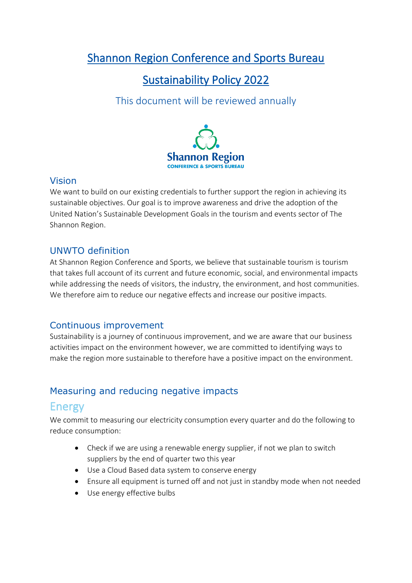# Shannon Region Conference and Sports Bureau

## Sustainability Policy 2022

## This document will be reviewed annually



### Vision

We want to build on our existing credentials to further support the region in achieving its sustainable objectives. Our goal is to improve awareness and drive the adoption of the United Nation's Sustainable Development Goals in the tourism and events sector of The Shannon Region.

### UNWTO definition

At Shannon Region Conference and Sports, we believe that sustainable tourism is tourism that takes full account of its current and future economic, social, and environmental impacts while addressing the needs of visitors, the industry, the environment, and host communities. We therefore aim to reduce our negative effects and increase our positive impacts.

### Continuous improvement

Sustainability is a journey of continuous improvement, and we are aware that our business activities impact on the environment however, we are committed to identifying ways to make the region more sustainable to therefore have a positive impact on the environment.

### Measuring and reducing negative impacts

### Energy

We commit to measuring our electricity consumption every quarter and do the following to reduce consumption:

- Check if we are using a renewable energy supplier, if not we plan to switch suppliers by the end of quarter two this year
- Use a Cloud Based data system to conserve energy
- Ensure all equipment is turned off and not just in standby mode when not needed
- Use energy effective bulbs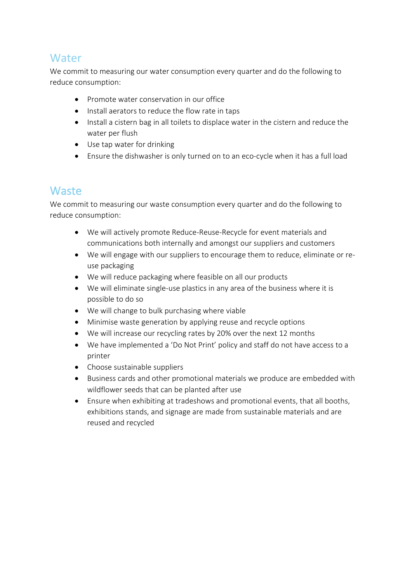### **Water**

We commit to measuring our water consumption every quarter and do the following to reduce consumption:

- Promote water conservation in our office
- Install aerators to reduce the flow rate in taps
- Install a cistern bag in all toilets to displace water in the cistern and reduce the water per flush
- Use tap water for drinking
- Ensure the dishwasher is only turned on to an eco-cycle when it has a full load

### **Waste**

We commit to measuring our waste consumption every quarter and do the following to reduce consumption:

- We will actively promote Reduce-Reuse-Recycle for event materials and communications both internally and amongst our suppliers and customers
- We will engage with our suppliers to encourage them to reduce, eliminate or reuse packaging
- We will reduce packaging where feasible on all our products
- We will eliminate single-use plastics in any area of the business where it is possible to do so
- We will change to bulk purchasing where viable
- Minimise waste generation by applying reuse and recycle options
- We will increase our recycling rates by 20% over the next 12 months
- We have implemented a 'Do Not Print' policy and staff do not have access to a printer
- Choose sustainable suppliers
- Business cards and other promotional materials we produce are embedded with wildflower seeds that can be planted after use
- Ensure when exhibiting at tradeshows and promotional events, that all booths, exhibitions stands, and signage are made from sustainable materials and are reused and recycled